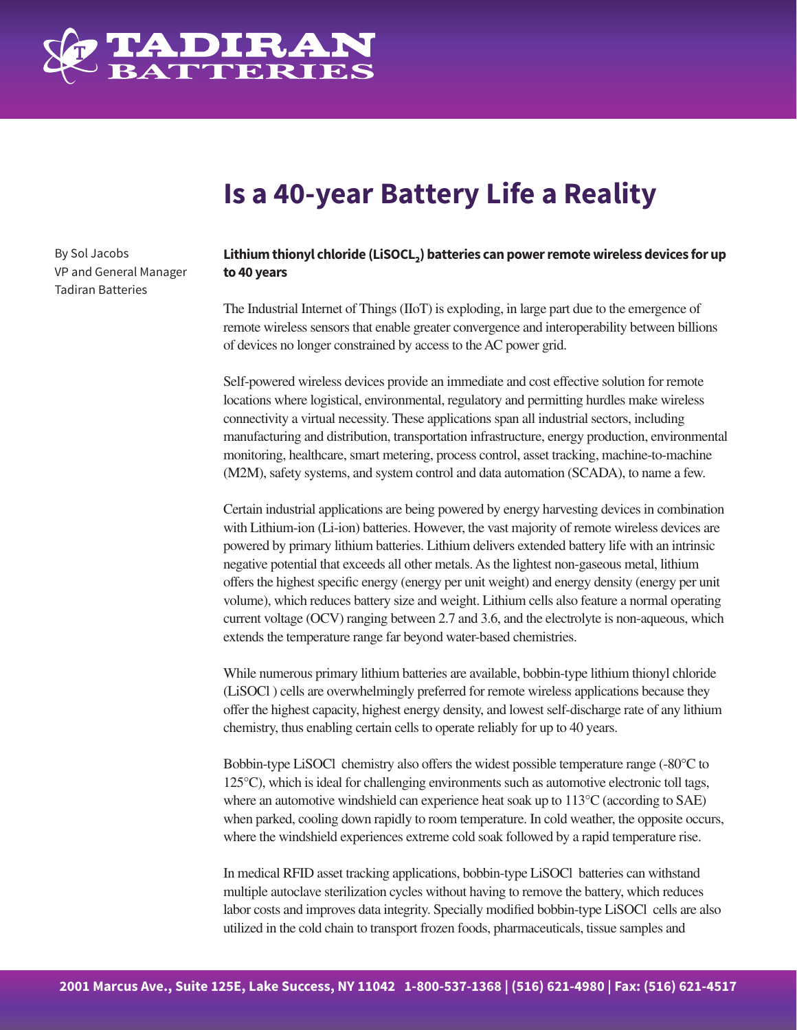

## **Is a 40-year Battery Life a Reality**

By Sol Jacobs VP and General Manager Tadiran Batteries

## **Lithium thionyl chloride (LiSOCL₂) batteries can power remote wireless devices for up to 40 years**

The Industrial Internet of Things (IIoT) is exploding, in large part due to the emergence of remote wireless sensors that enable greater convergence and interoperability between billions of devices no longer constrained by access to the AC power grid.

Self-powered wireless devices provide an immediate and cost effective solution for remote locations where logistical, environmental, regulatory and permitting hurdles make wireless connectivity a virtual necessity. These applications span all industrial sectors, including manufacturing and distribution, transportation infrastructure, energy production, environmental monitoring, healthcare, smart metering, process control, asset tracking, machine-to-machine (M2M), safety systems, and system control and data automation (SCADA), to name a few.

Certain industrial applications are being powered by energy harvesting devices in combination with Lithium-ion (Li-ion) batteries. However, the vast majority of remote wireless devices are powered by primary lithium batteries. Lithium delivers extended battery life with an intrinsic negative potential that exceeds all other metals. As the lightest non-gaseous metal, lithium offers the highest specific energy (energy per unit weight) and energy density (energy per unit volume), which reduces battery size and weight. Lithium cells also feature a normal operating current voltage (OCV) ranging between 2.7 and 3.6, and the electrolyte is non-aqueous, which extends the temperature range far beyond water-based chemistries.

While numerous primary lithium batteries are available, bobbin-type lithium thionyl chloride (LiSOCl) cells are overwhelmingly preferred for remote wireless applications because they offer the highest capacity, highest energy density, and lowest self-discharge rate of any lithium chemistry, thus enabling certain cells to operate reliably for up to 40 years.

Bobbin-type LiSOCl chemistry also offers the widest possible temperature range (-80°C to 125°C), which is ideal for challenging environments such as automotive electronic toll tags, where an automotive windshield can experience heat soak up to 113°C (according to SAE) when parked, cooling down rapidly to room temperature. In cold weather, the opposite occurs, where the windshield experiences extreme cold soak followed by a rapid temperature rise.

In medical RFID asset tracking applications, bobbin-type LiSOCl batteries can withstand multiple autoclave sterilization cycles without having to remove the battery, which reduces labor costs and improves data integrity. Specially modified bobbin-type LiSOCl cells are also utilized in the cold chain to transport frozen foods, pharmaceuticals, tissue samples and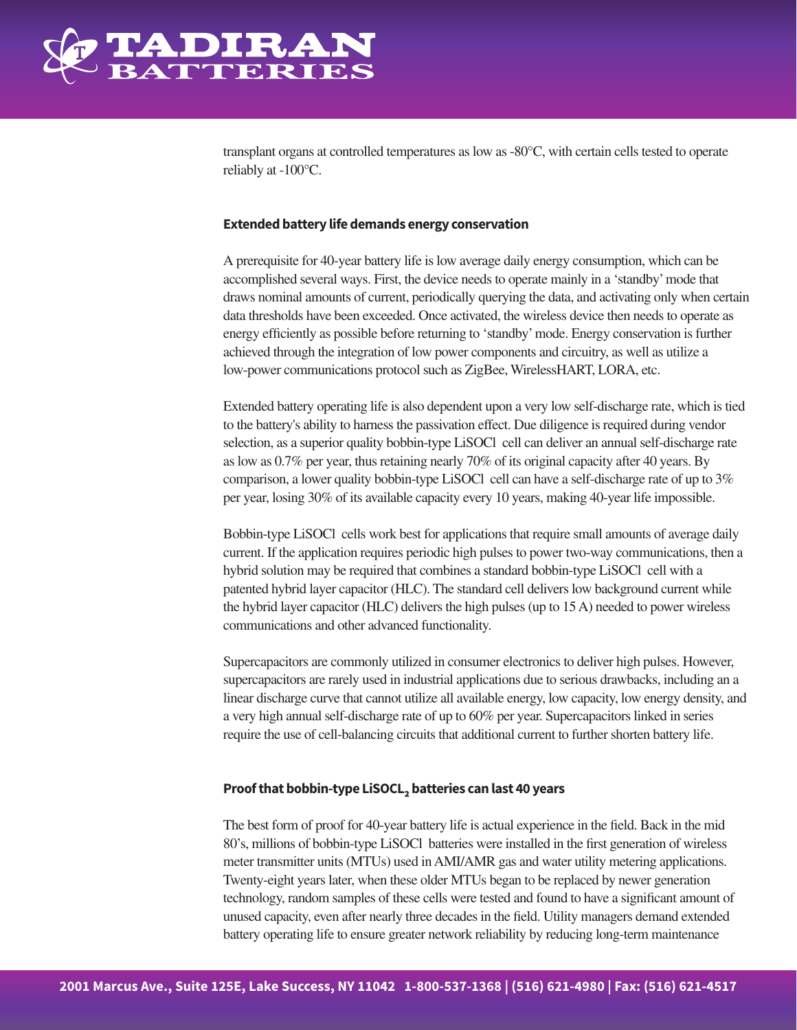

transplant organs at controlled temperatures as low as -80°C, with certain cells tested to operate reliably at -100°C.

## **Extended battery life demands energy conservation**

A prerequisite for 40-year battery life is low average daily energy consumption, which can be accomplished several ways. First, the device needs to operate mainly in a 'standby' mode that draws nominal amounts of current, periodically querying the data, and activating only when certain data thresholds have been exceeded. Once activated, the wireless device then needs to operate as energy efficiently as possible before returning to 'standby' mode. Energy conservation is further achieved through the integration of low power components and circuitry, as well as utilize a low-power communications protocol such as ZigBee, WirelessHART, LORA, etc.

Extended battery operating life is also dependent upon a very low self-discharge rate, which is tied to the battery's ability to harness the passivation effect. Due diligence is required during vendor selection, as a superior quality bobbin-type LiSOCl cell can deliver an annual self-discharge rate as low as 0.7% per year, thus retaining nearly 70% of its original capacity after 40 years. By comparison, a lower quality bobbin-type LiSOCl cell can have a self-discharge rate of up to 3% per year, losing 30% of its available capacity every 10 years, making 40-year life impossible.

Bobbin-type LiSOCl cells work best for applications that require small amounts of average daily current. If the application requires periodic high pulses to power two-way communications, then a hybrid solution may be required that combines a standard bobbin-type LiSOCl cell with a patented hybrid layer capacitor (HLC). The standard cell delivers low background current while the hybrid layer capacitor (HLC) delivers the high pulses (up to 15 A) needed to power wireless communications and other advanced functionality.

Supercapacitors are commonly utilized in consumer electronics to deliver high pulses. However, supercapacitors are rarely used in industrial applications due to serious drawbacks, including an a linear discharge curve that cannot utilize all available energy, low capacity, low energy density, and a very high annual self-discharge rate of up to 60% per year. Supercapacitors linked in series require the use of cell-balancing circuits that additional current to further shorten battery life.

## **Proof that bobbin-type LiSOCL₂ batteries can last 40 years**

The best form of proof for 40-year battery life is actual experience in the field. Back in the mid 80's, millions of bobbin-type LiSOCl batteries were installed in the first generation of wireless meter transmitter units (MTUs) used in AMI/AMR gas and water utility metering applications. Twenty-eight years later, when these older MTUs began to be replaced by newer generation technology, random samples of these cells were tested and found to have a significant amount of unused capacity, even after nearly three decades in the field. Utility managers demand extended battery operating life to ensure greater network reliability by reducing long-term maintenance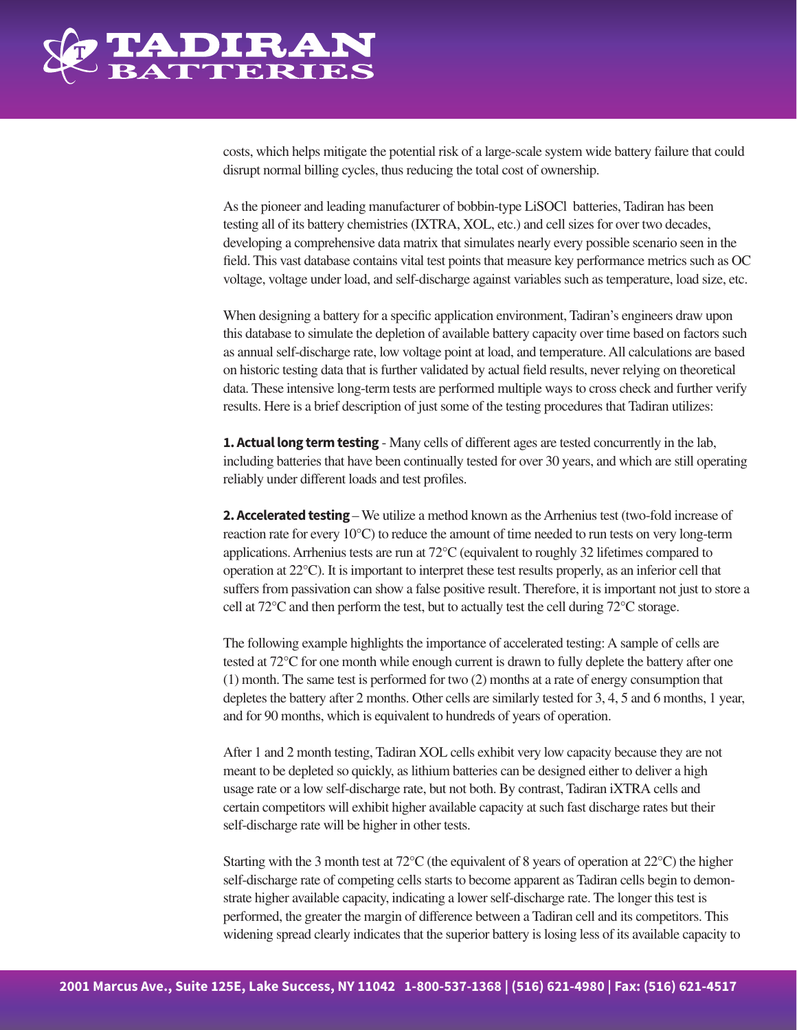

costs, which helps mitigate the potential risk of a large-scale system wide battery failure that could disrupt normal billing cycles, thus reducing the total cost of ownership.

As the pioneer and leading manufacturer of bobbin-type LiSOCl batteries, Tadiran has been testing all of its battery chemistries (IXTRA, XOL, etc.) and cell sizes for over two decades, developing a comprehensive data matrix that simulates nearly every possible scenario seen in the field. This vast database contains vital test points that measure key performance metrics such as OC voltage, voltage under load, and self-discharge against variables such as temperature, load size, etc.

When designing a battery for a specific application environment, Tadiran's engineers draw upon this database to simulate the depletion of available battery capacity over time based on factors such as annual self-discharge rate, low voltage point at load, and temperature. All calculations are based on historic testing data that is further validated by actual field results, never relying on theoretical data. These intensive long-term tests are performed multiple ways to cross check and further verify results. Here is a brief description of just some of the testing procedures that Tadiran utilizes:

**1. Actual long term testing** - Many cells of different ages are tested concurrently in the lab, including batteries that have been continually tested for over 30 years, and which are still operating reliably under different loads and test profiles.

**2. Accelerated testing** – We utilize a method known as the Arrhenius test (two-fold increase of reaction rate for every 10°C) to reduce the amount of time needed to run tests on very long-term applications. Arrhenius tests are run at 72°C (equivalent to roughly 32 lifetimes compared to operation at 22°C). It is important to interpret these test results properly, as an inferior cell that suffers from passivation can show a false positive result. Therefore, it is important not just to store a cell at 72°C and then perform the test, but to actually test the cell during 72°C storage.

The following example highlights the importance of accelerated testing: A sample of cells are tested at 72°C for one month while enough current is drawn to fully deplete the battery after one (1) month. The same test is performed for two (2) months at a rate of energy consumption that depletes the battery after 2 months. Other cells are similarly tested for 3, 4, 5 and 6 months, 1 year, and for 90 months, which is equivalent to hundreds of years of operation.

After 1 and 2 month testing, Tadiran XOL cells exhibit very low capacity because they are not meant to be depleted so quickly, as lithium batteries can be designed either to deliver a high usage rate or a low self-discharge rate, but not both. By contrast, Tadiran iXTRA cells and certain competitors will exhibit higher available capacity at such fast discharge rates but their self-discharge rate will be higher in other tests.

Starting with the 3 month test at 72°C (the equivalent of 8 years of operation at 22°C) the higher self-discharge rate of competing cells starts to become apparent as Tadiran cells begin to demonstrate higher available capacity, indicating a lower self-discharge rate. The longer this test is performed, the greater the margin of difference between a Tadiran cell and its competitors. This widening spread clearly indicates that the superior battery is losing less of its available capacity to